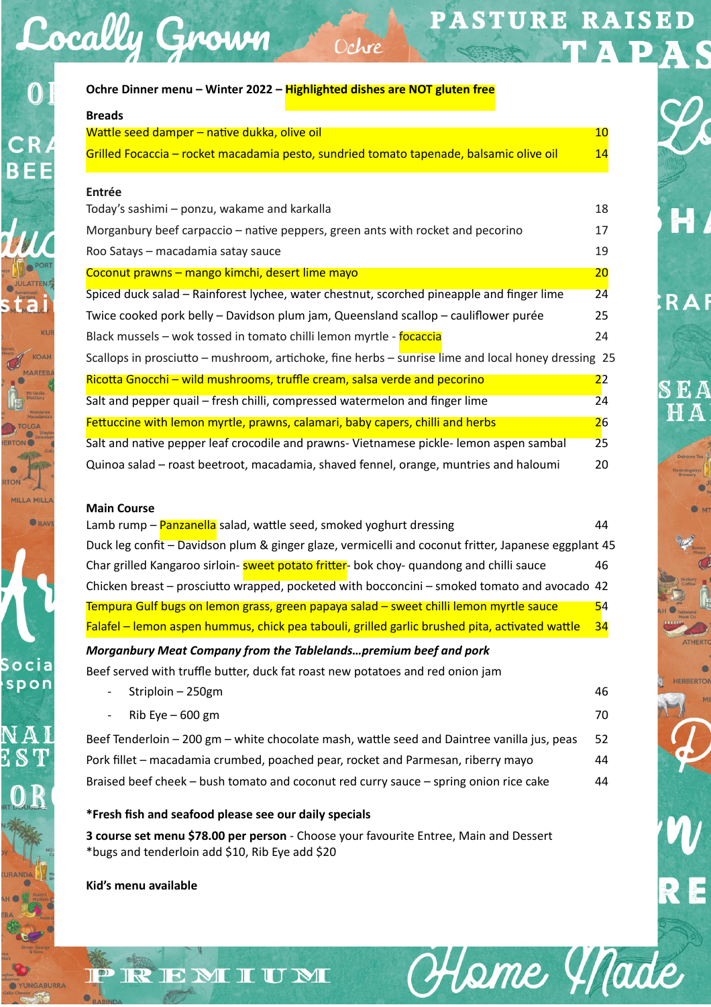## PASTURE RAISED S

D

 $H$ 

**RAF** 

SEA HA

HERBERTO

RE

Hame Made

| Ochre Dinner menu – Winter 2022 – Highlighted dishes are NOT gluten free                                                                                                                 |                |
|------------------------------------------------------------------------------------------------------------------------------------------------------------------------------------------|----------------|
| <b>Breads</b>                                                                                                                                                                            |                |
| Wattle seed damper – native dukka, olive oil                                                                                                                                             | 10             |
| Grilled Focaccia - rocket macadamia pesto, sundried tomato tapenade, balsamic olive oil                                                                                                  | 14             |
| <b>Entrée</b>                                                                                                                                                                            |                |
| Today's sashimi - ponzu, wakame and karkalla                                                                                                                                             | 18             |
| Morganbury beef carpaccio – native peppers, green ants with rocket and pecorino                                                                                                          | 17             |
| Roo Satays - macadamia satay sauce                                                                                                                                                       | 19             |
| Coconut prawns - mango kimchi, desert lime mayo                                                                                                                                          | 20             |
| Spiced duck salad – Rainforest lychee, water chestnut, scorched pineapple and finger lime                                                                                                | 24             |
| Twice cooked pork belly – Davidson plum jam, Queensland scallop – cauliflower purée                                                                                                      | 25             |
| Black mussels – wok tossed in tomato chilli lemon myrtle - focaccia                                                                                                                      | 24             |
| Scallops in prosciutto – mushroom, artichoke, fine herbs – sunrise lime and local honey dressing 25                                                                                      |                |
| Ricotta Gnocchi - wild mushrooms, truffle cream, salsa verde and pecorino                                                                                                                | 2 <sup>2</sup> |
| Salt and pepper quail – fresh chilli, compressed watermelon and finger lime                                                                                                              | 24             |
| Fettuccine with lemon myrtle, prawns, calamari, baby capers, chilli and herbs                                                                                                            | 26             |
| Salt and native pepper leaf crocodile and prawns- Vietnamese pickle- lemon aspen sambal                                                                                                  | 25             |
| Quinoa salad – roast beetroot, macadamia, shaved fennel, orange, muntries and haloumi                                                                                                    | 20             |
| <b>Main Course</b>                                                                                                                                                                       |                |
| Lamb rump – Panzanella salad, wattle seed, smoked yoghurt dressing                                                                                                                       | 44             |
| Duck leg confit - Davidson plum & ginger glaze, vermicelli and coconut fritter, Japanese eggplant 45                                                                                     |                |
| Char grilled Kangaroo sirloin- <b>sweet potato fritter</b> - bok choy- quandong and chilli sauce                                                                                         | 46             |
| Chicken breast – prosciutto wrapped, pocketed with bocconcini – smoked tomato and avocado 42                                                                                             |                |
| Tempura Gulf bugs on lemon grass, green papaya salad – sweet chilli lemon myrtle sauce<br>Falafel – lemon aspen hummus, chick pea tabouli, grilled garlic brushed pita, activated wattle | 54<br>34       |
|                                                                                                                                                                                          |                |
| Morganbury Meat Company from the Tablelandspremium beef and pork                                                                                                                         |                |
| Beef served with truffle butter, duck fat roast new potatoes and red onion jam<br>Striploin - 250gm                                                                                      | 46             |
|                                                                                                                                                                                          |                |
| Rib Eye $-600$ gm                                                                                                                                                                        | 70             |
| Beef Tenderloin - 200 gm - white chocolate mash, wattle seed and Daintree vanilla jus, peas                                                                                              | 52             |
| Pork fillet – macadamia crumbed, poached pear, rocket and Parmesan, riberry mayo                                                                                                         | 44             |
| Braised beef cheek - bush tomato and coconut red curry sauce - spring onion rice cake                                                                                                    | 44             |
| *Fresh fish and seafood please see our daily specials                                                                                                                                    |                |

Ochre

**3 course set menu \$78.00 per person** - Choose your favourite Entree, Main and Dessert \*bugs and tenderloin add \$10, Rib Eye add \$20

**Kid's menu available** 

PREMIUM

Cocally Grown

 $\overline{0}$ 

**CR** 

**BEE** 

ORAY

Socia spon

 $N\,{\rm A}$  ]  $ES$